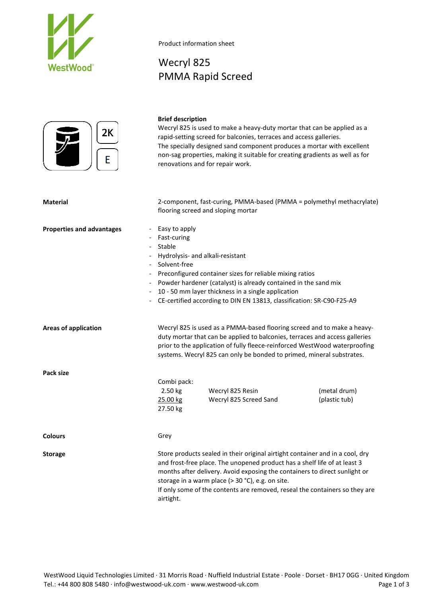

Product information sheet

# Wecryl 825 PMMA Rapid Screed



## **Brief description**

Wecryl 825 is used to make a heavy-duty mortar that can be applied as a rapid-setting screed for balconies, terraces and access galleries. The specially designed sand component produces a mortar with excellent non-sag properties, making it suitable for creating gradients as well as for renovations and for repair work.

| <b>Material</b>                                              | 2-component, fast-curing, PMMA-based (PMMA = polymethyl methacrylate)<br>flooring screed and sloping mortar                                                                                                                                                                                                                                                                              |  |
|--------------------------------------------------------------|------------------------------------------------------------------------------------------------------------------------------------------------------------------------------------------------------------------------------------------------------------------------------------------------------------------------------------------------------------------------------------------|--|
| <b>Properties and advantages</b><br>$\overline{\phantom{a}}$ | Easy to apply<br>Fast-curing<br>Stable<br>Hydrolysis- and alkali-resistant<br>Solvent-free<br>Preconfigured container sizes for reliable mixing ratios<br>Powder hardener (catalyst) is already contained in the sand mix<br>10 - 50 mm layer thickness in a single application<br>CE-certified according to DIN EN 13813, classification: SR-C90-F25-A9                                 |  |
| <b>Areas of application</b>                                  | Wecryl 825 is used as a PMMA-based flooring screed and to make a heavy-<br>duty mortar that can be applied to balconies, terraces and access galleries<br>prior to the application of fully fleece-reinforced WestWood waterproofing<br>systems. Wecryl 825 can only be bonded to primed, mineral substrates.                                                                            |  |
| Pack size                                                    | Combi pack:<br>2.50 kg<br>Wecryl 825 Resin<br>(metal drum)<br>25.00 kg<br>Wecryl 825 Screed Sand<br>(plastic tub)<br>27.50 kg                                                                                                                                                                                                                                                            |  |
| <b>Colours</b>                                               | Grey                                                                                                                                                                                                                                                                                                                                                                                     |  |
| <b>Storage</b>                                               | Store products sealed in their original airtight container and in a cool, dry<br>and frost-free place. The unopened product has a shelf life of at least 3<br>months after delivery. Avoid exposing the containers to direct sunlight or<br>storage in a warm place (> 30 °C), e.g. on site.<br>If only some of the contents are removed, reseal the containers so they are<br>airtight. |  |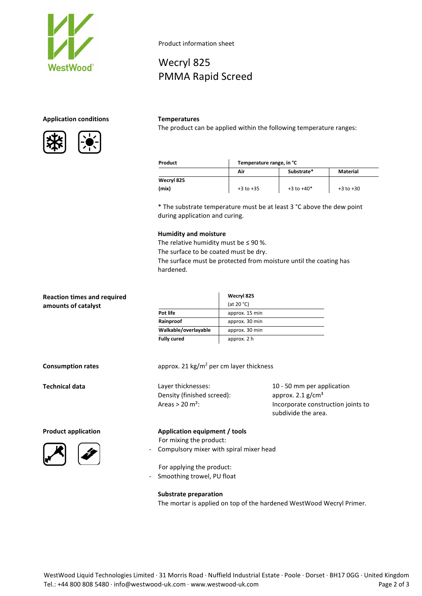

## **Application conditions Temperatures**



Product information sheet

PMMA Rapid Screed

Wecryl 825

The product can be applied within the following temperature ranges:

| Product    | Temperature range, in °C |                |               |
|------------|--------------------------|----------------|---------------|
|            | Air                      | Substrate*     | Material      |
| Wecryl 825 |                          |                |               |
| (mix)      | $+3$ to $+35$            | $+3$ to $+40*$ | $+3$ to $+30$ |

\* The substrate temperature must be at least 3 °C above the dew point during application and curing.

#### **Humidity and moisture**

The relative humidity must be  $\leq$  90 %. The surface to be coated must be dry. The surface must be protected from moisture until the coating has hardened.

| (at 20 $°C$ )<br>amounts of catalyst<br>Pot life<br>approx. 15 min<br>Rainproof<br>approx. 30 min<br>Walkable/overlayable<br>approx. 30 min | <b>Reaction times and required</b> | Wecryl 825 |
|---------------------------------------------------------------------------------------------------------------------------------------------|------------------------------------|------------|
|                                                                                                                                             |                                    |            |
|                                                                                                                                             |                                    |            |
|                                                                                                                                             |                                    |            |
|                                                                                                                                             |                                    |            |
| <b>Fully cured</b><br>approx. 2 h                                                                                                           |                                    |            |
|                                                                                                                                             |                                    |            |
|                                                                                                                                             |                                    |            |

**Consumption rates rates** approx. 21 kg/m<sup>2</sup> per cm layer thickness

Density (finished screed): approx. 2.1 g/cm<sup>3</sup>

**Technical data** Layer thicknesses: 10 - 50 mm per application Areas > 20 m<sup>2</sup>: Incorporate construction joints to subdivide the area.



**Product application Application equipment / tools** For mixing the product:

- Compulsory mixer with spiral mixer head

For applying the product:

- Smoothing trowel, PU float

**Substrate preparation** The mortar is applied on top of the hardened WestWood Wecryl Primer.